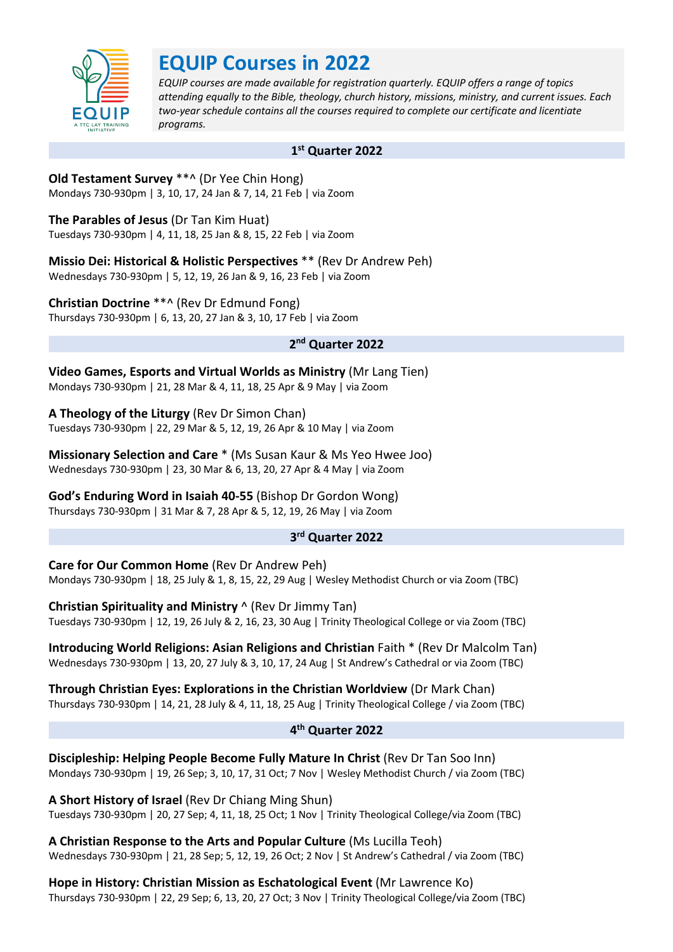

# **EQUIP Courses in 2022**

*EQUIP courses are made available for registration quarterly. EQUIP offers a range of topics attending equally to the Bible, theology, church history, missions, ministry, and current issues. Each two-year schedule contains all the courses required to complete our certificate and licentiate programs.*

### **1st Quarter 2022**

**Old Testament Survey** \*\*^ (Dr Yee Chin Hong) Mondays 730-930pm | 3, 10, 17, 24 Jan & 7, 14, 21 Feb | via Zoom

**The Parables of Jesus** (Dr Tan Kim Huat) Tuesdays 730-930pm | 4, 11, 18, 25 Jan & 8, 15, 22 Feb | via Zoom

**Missio Dei: Historical & Holistic Perspectives** \*\* (Rev Dr Andrew Peh) Wednesdays 730-930pm | 5, 12, 19, 26 Jan & 9, 16, 23 Feb | via Zoom

**Christian Doctrine** \*\*^ (Rev Dr Edmund Fong) Thursdays 730-930pm | 6, 13, 20, 27 Jan & 3, 10, 17 Feb | via Zoom

## **2nd Quarter 2022**

**Video Games, Esports and Virtual Worlds as Ministry** (Mr Lang Tien) Mondays 730-930pm | 21, 28 Mar & 4, 11, 18, 25 Apr & 9 May | via Zoom

**A Theology of the Liturgy** (Rev Dr Simon Chan) Tuesdays 730-930pm | 22, 29 Mar & 5, 12, 19, 26 Apr & 10 May | via Zoom

**Missionary Selection and Care** \* (Ms Susan Kaur & Ms Yeo Hwee Joo) Wednesdays 730-930pm | 23, 30 Mar & 6, 13, 20, 27 Apr & 4 May | via Zoom

**God's Enduring Word in Isaiah 40-55** (Bishop Dr Gordon Wong) Thursdays 730-930pm | 31 Mar & 7, 28 Apr & 5, 12, 19, 26 May | via Zoom

## **3rd Quarter 2022**

**Care for Our Common Home** (Rev Dr Andrew Peh) Mondays 730-930pm | 18, 25 July & 1, 8, 15, 22, 29 Aug | Wesley Methodist Church or via Zoom (TBC)

**Christian Spirituality and Ministry** ^ (Rev Dr Jimmy Tan) Tuesdays 730-930pm | 12, 19, 26 July & 2, 16, 23, 30 Aug | Trinity Theological College or via Zoom (TBC)

**Introducing World Religions: Asian Religions and Christian** Faith \* (Rev Dr Malcolm Tan) Wednesdays 730-930pm | 13, 20, 27 July & 3, 10, 17, 24 Aug | St Andrew's Cathedral or via Zoom (TBC)

**Through Christian Eyes: Explorations in the Christian Worldview** (Dr Mark Chan) Thursdays 730-930pm | 14, 21, 28 July & 4, 11, 18, 25 Aug | Trinity Theological College / via Zoom (TBC)

### **4th Quarter 2022**

**Discipleship: Helping People Become Fully Mature In Christ** (Rev Dr Tan Soo Inn) Mondays 730-930pm | 19, 26 Sep; 3, 10, 17, 31 Oct; 7 Nov | Wesley Methodist Church / via Zoom (TBC)

**A Short History of Israel** (Rev Dr Chiang Ming Shun) Tuesdays 730-930pm | 20, 27 Sep; 4, 11, 18, 25 Oct; 1 Nov | Trinity Theological College/via Zoom (TBC)

**A Christian Response to the Arts and Popular Culture** (Ms Lucilla Teoh) Wednesdays 730-930pm | 21, 28 Sep; 5, 12, 19, 26 Oct; 2 Nov | St Andrew's Cathedral / via Zoom (TBC)

**Hope in History: Christian Mission as Eschatological Event** (Mr Lawrence Ko) Thursdays 730-930pm | 22, 29 Sep; 6, 13, 20, 27 Oct; 3 Nov | Trinity Theological College/via Zoom (TBC)